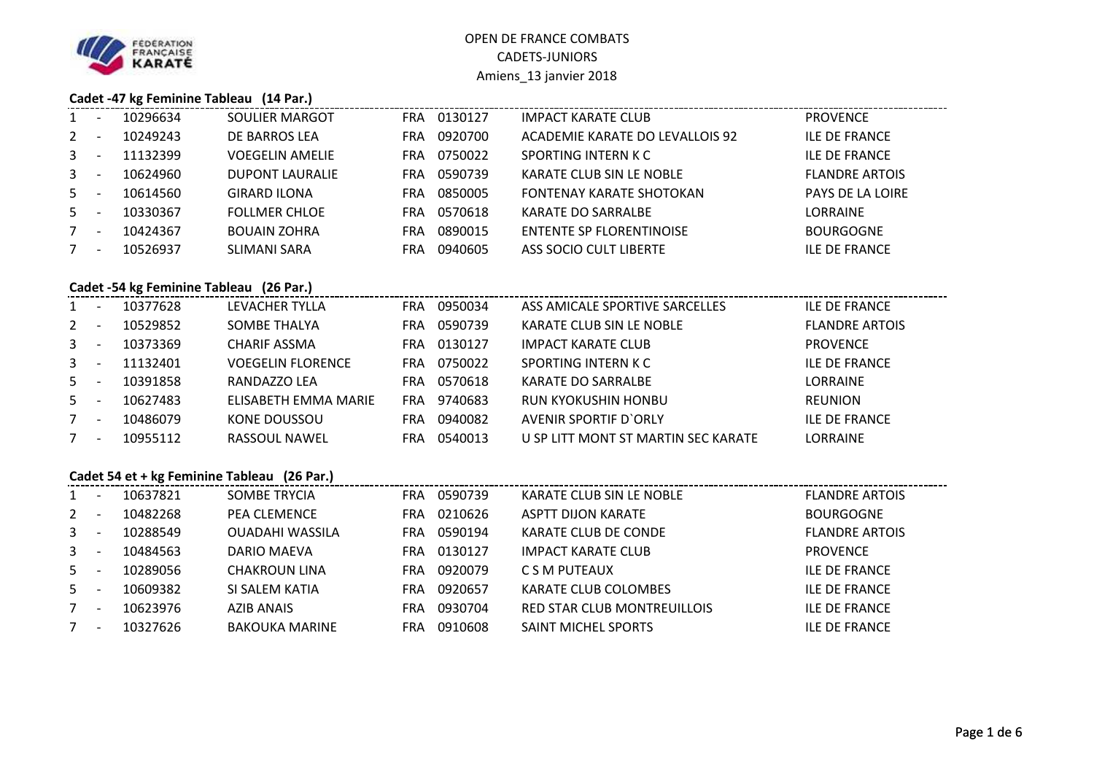

## **Cadet -47 kg Feminine Tableau (14 Par.)**

| 1              | 10296634 | SOULIER MARGOT         | FRA. | 0130127 | <b>IMPACT KARATE CLUB</b>       | <b>PROVENCE</b>         |
|----------------|----------|------------------------|------|---------|---------------------------------|-------------------------|
| $2^{\circ}$    | 10249243 | DE BARROS LEA          | FRA. | 0920700 | ACADEMIE KARATE DO LEVALLOIS 92 | <b>ILE DE FRANCE</b>    |
| 3 <sup>7</sup> | 11132399 | <b>VOEGELIN AMELIE</b> | FRA. | 0750022 | SPORTING INTERN K C             | <b>ILE DE FRANCE</b>    |
| $3 - 5$        | 10624960 | <b>DUPONT LAURALIE</b> | FRA. | 0590739 | KARATE CLUB SIN LE NOBLE        | <b>FLANDRE ARTOIS</b>   |
| $5 -$          | 10614560 | <b>GIRARD ILONA</b>    | FRA. | 0850005 | <b>FONTENAY KARATE SHOTOKAN</b> | <b>PAYS DE LA LOIRE</b> |
| $5 -$          | 10330367 | <b>FOLLMER CHLOE</b>   | FRA. | 0570618 | <b>KARATE DO SARRALBE</b>       | <b>LORRAINE</b>         |
| $7^{\circ}$    | 10424367 | <b>BOUAIN ZOHRA</b>    | FRA  | 0890015 | ENTENTE SP FLORENTINOISE        | <b>BOURGOGNE</b>        |
| $7^{\circ}$    | 10526937 | SLIMANI SARA           | FRA  | 0940605 | ASS SOCIO CULT LIBERTE          | <b>ILE DE FRANCE</b>    |

## **Cadet -54 kg Feminine Tableau (26 Par.)**

| $1 \quad$ | $\sim$                   | 10377628 | LEVACHER TYLLA           | FRA. | 0950034 | ASS AMICALE SPORTIVE SARCELLES      | <b>ILE DE FRANCE</b>  |
|-----------|--------------------------|----------|--------------------------|------|---------|-------------------------------------|-----------------------|
| $2 -$     |                          | 10529852 | SOMBE THALYA             | FRA. | 0590739 | KARATE CLUB SIN LE NOBLE            | <b>FLANDRE ARTOIS</b> |
| $3 - 5$   |                          | 10373369 | <b>CHARIF ASSMA</b>      | FRA. | 0130127 | <b>IMPACT KARATE CLUB</b>           | <b>PROVENCE</b>       |
| $3 - 5$   |                          | 11132401 | <b>VOEGELIN FLORENCE</b> | FRA  | 0750022 | SPORTING INTERN K C                 | <b>ILE DE FRANCE</b>  |
| $5 -$     |                          | 10391858 | RANDAZZO LEA             | FRA. | 0570618 | KARATE DO SARRALBE                  | LORRAINE              |
| $5 -$     |                          | 10627483 | ELISABETH EMMA MARIE     | FRA  | 9740683 | RUN KYOKUSHIN HONBU                 | REUNION               |
| $7 -$     |                          | 10486079 | KONE DOUSSOU             | FRA  | 0940082 | <b>AVENIR SPORTIF D'ORLY</b>        | <b>ILE DE FRANCE</b>  |
| 7         | $\overline{\phantom{a}}$ | 10955112 | <b>RASSOUL NAWEL</b>     | FRA  | 0540013 | U SP LITT MONT ST MARTIN SEC KARATE | LORRAINE              |

#### **Cadet 54 et + kg Feminine Tableau (26 Par.)**

|              | Cauel 54 et + Kg reminine Tableau (20 Part) |          |                        |            |         |                             |                       |  |  |  |  |
|--------------|---------------------------------------------|----------|------------------------|------------|---------|-----------------------------|-----------------------|--|--|--|--|
| $1 \quad$    |                                             | 10637821 | <b>SOMBE TRYCIA</b>    | <b>FRA</b> | 0590739 | KARATE CLUB SIN LE NOBLE    | <b>FLANDRE ARTOIS</b> |  |  |  |  |
| $2^{\circ}$  |                                             | 10482268 | <b>PEA CLEMENCE</b>    | FRA        | 0210626 | ASPTT DIJON KARATE          | <b>BOURGOGNE</b>      |  |  |  |  |
| $\mathbf{3}$ |                                             | 10288549 | <b>OUADAHI WASSILA</b> | <b>FRA</b> | 0590194 | KARATE CLUB DE CONDE        | <b>FLANDRE ARTOIS</b> |  |  |  |  |
| $\mathbf{3}$ |                                             | 10484563 | DARIO MAEVA            | <b>FRA</b> | 0130127 | <b>IMPACT KARATE CLUB</b>   | <b>PROVENCE</b>       |  |  |  |  |
| $5 -$        |                                             | 10289056 | <b>CHAKROUN LINA</b>   | <b>FRA</b> | 0920079 | C S M PUTEAUX               | <b>ILE DE FRANCE</b>  |  |  |  |  |
| 5            |                                             | 10609382 | SI SALEM KATIA         | <b>FRA</b> | 0920657 | KARATE CLUB COLOMBES        | <b>ILE DE FRANCE</b>  |  |  |  |  |
| 7            |                                             | 10623976 | AZIB ANAIS             | FRA        | 0930704 | RED STAR CLUB MONTREUILLOIS | <b>ILE DE FRANCE</b>  |  |  |  |  |
| $7^{\circ}$  |                                             | 10327626 | <b>BAKOUKA MARINE</b>  | FRA        | 0910608 | <b>SAINT MICHEL SPORTS</b>  | <b>ILE DE FRANCE</b>  |  |  |  |  |
|              |                                             |          |                        |            |         |                             |                       |  |  |  |  |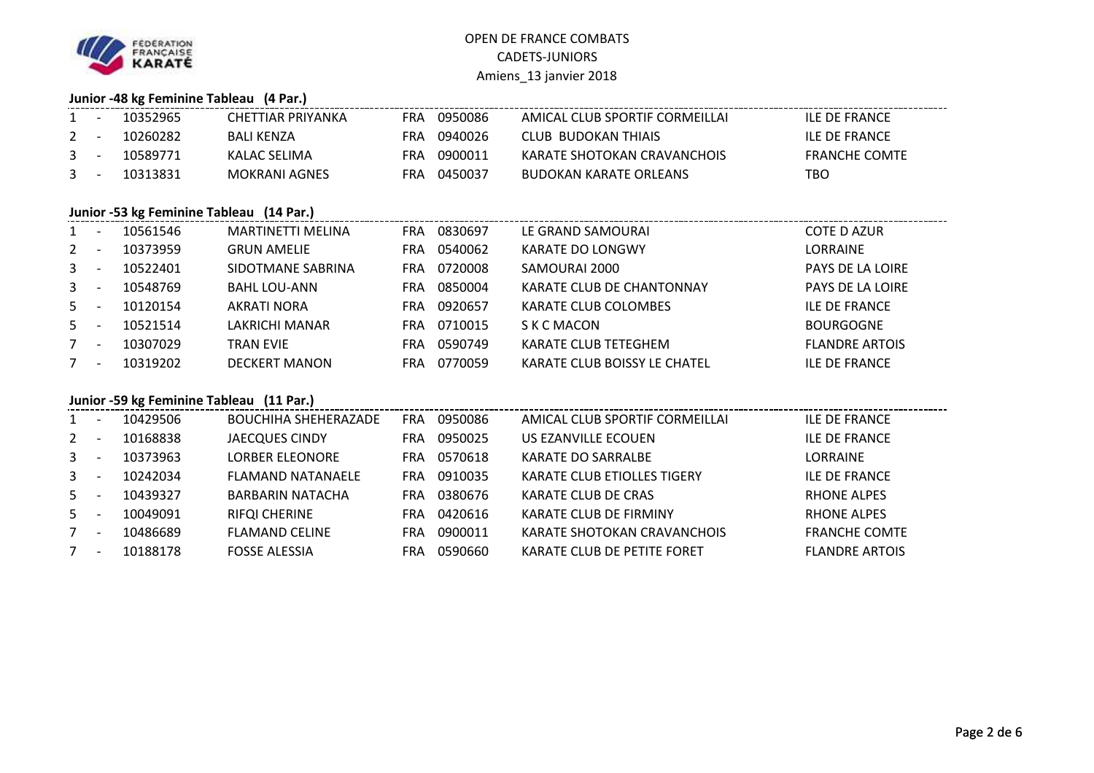

### **Junior -48 kg Feminine Tableau (4 Par.)**

| $1 -$   | 10352965 | CHETTIAR PRIYANKA    |     | FRA 0950086 | AMICAL CLUB SPORTIF CORMEILLAI | ILE DE FRANCE |
|---------|----------|----------------------|-----|-------------|--------------------------------|---------------|
| $2 -$   | 10260282 | BALI KENZA           |     | FRA 0940026 | CLUB BUDOKAN THIAIS            | ILE DE FRANCE |
| $3 - 1$ | 10589771 | KALAC SELIMA         | FRA | 0900011     | KARATE SHOTOKAN CRAVANCHOIS    | FRANCHE COMTE |
| $3 - 1$ | 10313831 | <b>MOKRANI AGNES</b> |     | FRA 0450037 | BUDOKAN KARATE ORLEANS         | TBO           |
|         |          |                      |     |             |                                |               |

#### **Junior -53 kg Feminine Tableau (14 Par.)**

| 1              | 10561546 | MARTINETTI MELINA    | <b>FRA</b> | 0830697 | LE GRAND SAMOURAI            | COTE D AZUR             |
|----------------|----------|----------------------|------------|---------|------------------------------|-------------------------|
| $2^{\circ}$    | 10373959 | <b>GRUN AMELIE</b>   | FRA        | 0540062 | KARATE DO LONGWY             | <b>LORRAINE</b>         |
| 3 <sup>7</sup> | 10522401 | SIDOTMANE SABRINA    | <b>FRA</b> | 0720008 | SAMOURAI 2000                | <b>PAYS DE LA LOIRE</b> |
| 3 <sup>1</sup> | 10548769 | <b>BAHL LOU-ANN</b>  | FRA        | 0850004 | KARATE CLUB DE CHANTONNAY    | <b>PAYS DE LA LOIRE</b> |
| $5 -$          | 10120154 | AKRATI NORA          | <b>FRA</b> | 0920657 | KARATE CLUB COLOMBES         | <b>ILE DE FRANCE</b>    |
| 5              | 10521514 | LAKRICHI MANAR       | <b>FRA</b> | 0710015 | S K C MACON                  | <b>BOURGOGNE</b>        |
| $7^{\circ}$    | 10307029 | TRAN EVIE            | <b>FRA</b> | 0590749 | KARATE CLUB TETEGHEM         | <b>FLANDRE ARTOIS</b>   |
| 7              | 10319202 | <b>DECKERT MANON</b> | FRA        | 0770059 | KARATE CLUB BOISSY LE CHATEL | <b>ILE DE FRANCE</b>    |
|                |          |                      |            |         |                              |                         |

#### **Junior -59 kg Feminine Tableau (11 Par.)**

| 1            | 10429506 | <b>BOUCHIHA SHEHERAZADE</b> | <b>FRA</b> | 0950086 | AMICAL CLUB SPORTIF CORMEILLAI     | <b>ILE DE FRANCE</b>  |
|--------------|----------|-----------------------------|------------|---------|------------------------------------|-----------------------|
| $2^{\circ}$  | 10168838 | <b>JAECQUES CINDY</b>       | <b>FRA</b> | 0950025 | US EZANVILLE ECOUEN                | <b>ILE DE FRANCE</b>  |
| $\mathbf{3}$ | 10373963 | <b>LORBER ELEONORE</b>      | FRA        | 0570618 | <b>KARATE DO SARRALBE</b>          | LORRAINE              |
| $3 -$        | 10242034 | <b>FLAMAND NATANAELE</b>    | FRA        | 0910035 | <b>KARATE CLUB ETIOLLES TIGERY</b> | <b>ILE DE FRANCE</b>  |
| $5 -$        | 10439327 | <b>BARBARIN NATACHA</b>     | FRA        | 0380676 | KARATE CLUB DE CRAS                | <b>RHONE ALPES</b>    |
| 5            | 10049091 | <b>RIFQI CHERINE</b>        | <b>FRA</b> | 0420616 | KARATE CLUB DE FIRMINY             | <b>RHONE ALPES</b>    |
| $7^{\circ}$  | 10486689 | <b>FLAMAND CELINE</b>       | FRA        | 0900011 | KARATE SHOTOKAN CRAVANCHOIS        | <b>FRANCHE COMTE</b>  |
| 7            | 10188178 | <b>FOSSE ALESSIA</b>        | FRA        | 0590660 | KARATE CLUB DE PETITE FORET        | <b>FLANDRE ARTOIS</b> |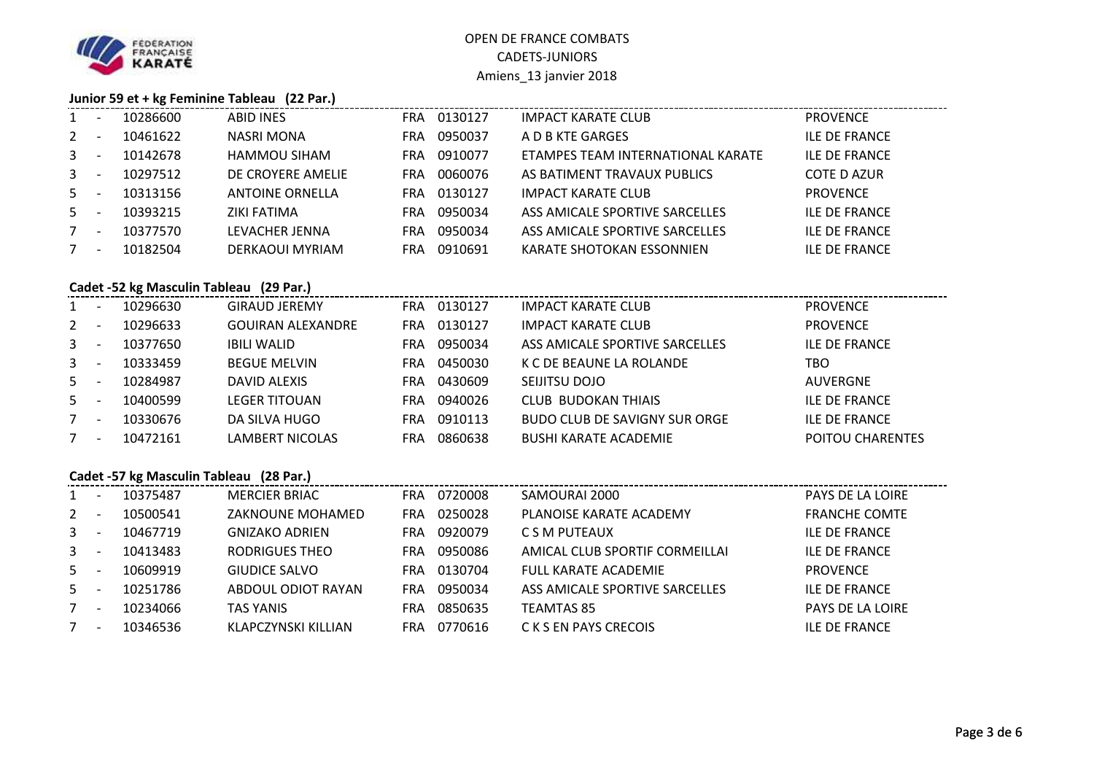

## **Junior 59 et + kg Feminine Tableau (22 Par.)**

| $1 \quad$      | 10286600 | ABID INES              | FRA. | 0130127 | <b>IMPACT KARATE CLUB</b>         | <b>PROVENCE</b>      |
|----------------|----------|------------------------|------|---------|-----------------------------------|----------------------|
| $2^{\circ}$    | 10461622 | <b>NASRI MONA</b>      | FRA. | 0950037 | A D B KTE GARGES                  | <b>ILE DE FRANCE</b> |
| 3 <sup>1</sup> | 10142678 | HAMMOU SIHAM           | FRA. | 0910077 | ETAMPES TEAM INTERNATIONAL KARATE | <b>ILE DE FRANCE</b> |
| $3^{\circ}$    | 10297512 | DE CROYERE AMELIE      | FRA. | 0060076 | AS BATIMENT TRAVAUX PUBLICS       | <b>COTE D AZUR</b>   |
| $5 -$          | 10313156 | <b>ANTOINE ORNELLA</b> | FRA. | 0130127 | <b>IMPACT KARATE CLUB</b>         | <b>PROVENCE</b>      |
| $5 -$          | 10393215 | ZIKI FATIMA            | FRA  | 0950034 | ASS AMICALE SPORTIVE SARCELLES    | <b>ILE DE FRANCE</b> |
| $7^{\circ}$    | 10377570 | LEVACHER JENNA         | FRA  | 0950034 | ASS AMICALE SPORTIVE SARCELLES    | <b>ILE DE FRANCE</b> |
| $7^{\circ}$    | 10182504 | DERKAOUI MYRIAM        | FRA. | 0910691 | KARATE SHOTOKAN ESSONNIEN         | <b>ILE DE FRANCE</b> |
|                |          |                        |      |         |                                   |                      |

## **Cadet -52 kg Masculin Tableau (29 Par.)**

| $\mathbf{1}$ | 10296630 | <b>GIRAUD JEREMY</b>     | FRA.       | 0130127 | <b>IMPACT KARATE CLUB</b>            | <b>PROVENCE</b>      |
|--------------|----------|--------------------------|------------|---------|--------------------------------------|----------------------|
| $2^{\circ}$  | 10296633 | <b>GOUIRAN ALEXANDRE</b> | FRA.       | 0130127 | <b>IMPACT KARATE CLUB</b>            | <b>PROVENCE</b>      |
| $\mathbf{3}$ | 10377650 | <b>IBILI WALID</b>       | <b>FRA</b> | 0950034 | ASS AMICALE SPORTIVE SARCELLES       | <b>ILE DE FRANCE</b> |
| $3 -$        | 10333459 | <b>BEGUE MELVIN</b>      | <b>FRA</b> | 0450030 | K C DE BEAUNE LA ROLANDE             | тво                  |
| $5 -$        | 10284987 | DAVID ALEXIS             | FRA        | 0430609 | SEIJITSU DOJO                        | AUVERGNE             |
| $5 -$        | 10400599 | <b>LEGER TITOUAN</b>     | <b>FRA</b> | 0940026 | <b>CLUB BUDOKAN THIAIS</b>           | <b>ILE DE FRANCE</b> |
| 7            | 10330676 | DA SILVA HUGO            | <b>FRA</b> | 0910113 | <b>BUDO CLUB DE SAVIGNY SUR ORGE</b> | <b>ILE DE FRANCE</b> |
| 7            | 10472161 | <b>LAMBERT NICOLAS</b>   | <b>FRA</b> | 0860638 | <b>BUSHI KARATE ACADEMIE</b>         | POITOU CHARENTES     |

#### **Cadet -57 kg Masculin Tableau (28 Par.)**

|              | Cauel -37 Kg Masculiii Tableau TZo Parti |          |                       |      |         |                                |                         |  |  |  |  |  |
|--------------|------------------------------------------|----------|-----------------------|------|---------|--------------------------------|-------------------------|--|--|--|--|--|
| $1 \quad$    |                                          | 10375487 | <b>MERCIER BRIAC</b>  | FRA  | 0720008 | SAMOURAI 2000                  | PAYS DE LA LOIRE        |  |  |  |  |  |
| 2            |                                          | 10500541 | ZAKNOUNE MOHAMED      | FRA  | 0250028 | PLANOISE KARATE ACADEMY        | <b>FRANCHE COMTE</b>    |  |  |  |  |  |
| $\mathbf{3}$ |                                          | 10467719 | <b>GNIZAKO ADRIEN</b> | FRA. | 0920079 | C S M PUTEAUX                  | <b>ILE DE FRANCE</b>    |  |  |  |  |  |
| $\mathbf{3}$ |                                          | 10413483 | RODRIGUES THEO        | FRA. | 0950086 | AMICAL CLUB SPORTIF CORMEILLAI | <b>ILE DE FRANCE</b>    |  |  |  |  |  |
| $5 -$        |                                          | 10609919 | GIUDICE SALVO         | FRA  | 0130704 | <b>FULL KARATE ACADEMIE</b>    | <b>PROVENCE</b>         |  |  |  |  |  |
| $5 -$        |                                          | 10251786 | ABDOUL ODIOT RAYAN    | FRA  | 0950034 | ASS AMICALE SPORTIVE SARCELLES | <b>ILE DE FRANCE</b>    |  |  |  |  |  |
|              |                                          | 10234066 | <b>TAS YANIS</b>      | FRA  | 0850635 | <b>TEAMTAS 85</b>              | <b>PAYS DE LA LOIRE</b> |  |  |  |  |  |
|              |                                          | 10346536 | KLAPCZYNSKI KILLIAN   | FRA  | 0770616 | C K S EN PAYS CRECOIS          | <b>ILE DE FRANCE</b>    |  |  |  |  |  |
|              |                                          |          |                       |      |         |                                |                         |  |  |  |  |  |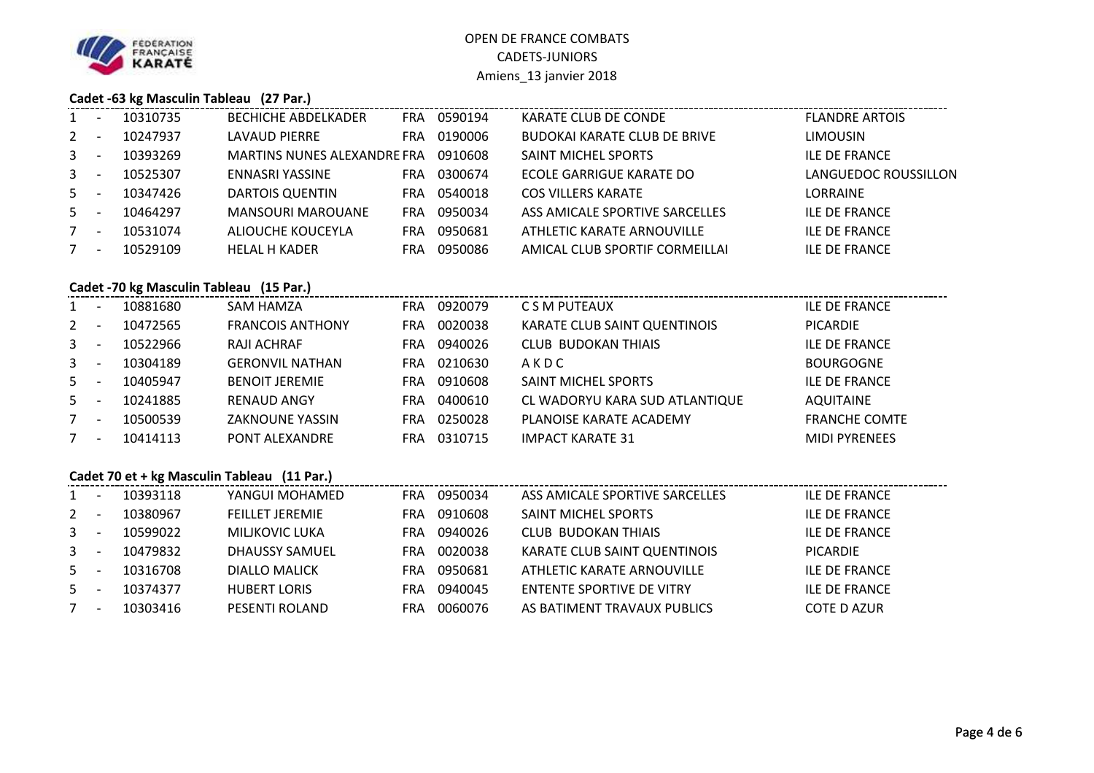

## **Cadet -63 kg Masculin Tableau (27 Par.)**

| 1           | $\overline{\phantom{a}}$ | 10310735 | <b>BECHICHE ABDELKADER</b>  |            | FRA 0590194 | KARATE CLUB DE CONDE                | <b>FLANDRE ARTOIS</b> |
|-------------|--------------------------|----------|-----------------------------|------------|-------------|-------------------------------------|-----------------------|
| $2^{\circ}$ |                          | 10247937 | <b>LAVAUD PIERRE</b>        | <b>FRA</b> | 0190006     | <b>BUDOKAI KARATE CLUB DE BRIVE</b> | <b>LIMOUSIN</b>       |
| $3 -$       |                          | 10393269 | MARTINS NUNES ALEXANDRE FRA |            | 0910608     | SAINT MICHEL SPORTS                 | <b>ILE DE FRANCE</b>  |
| $3 -$       |                          | 10525307 | ENNASRI YASSINE             | FRA.       | 0300674     | ECOLE GARRIGUE KARATE DO            | LANGUEDOC ROUSSILLON  |
| $5 -$       |                          | 10347426 | <b>DARTOIS QUENTIN</b>      |            | FRA 0540018 | <b>COS VILLERS KARATE</b>           | LORRAINE              |
| $5 -$       |                          | 10464297 | <b>MANSOURI MAROUANE</b>    |            | FRA 0950034 | ASS AMICALE SPORTIVE SARCELLES      | <b>ILE DE FRANCE</b>  |
| 7           |                          | 10531074 | ALIOUCHE KOUCEYLA           | FRA        | 0950681     | ATHLETIC KARATE ARNOUVILLE          | <b>ILE DE FRANCE</b>  |
| $7^{\circ}$ |                          | 10529109 | <b>HELAL H KADER</b>        | FRA        | 0950086     | AMICAL CLUB SPORTIF CORMEILLAI      | <b>ILE DE FRANCE</b>  |
|             |                          |          |                             |            |             |                                     |                       |

# **Cadet -70 kg Masculin Tableau (15 Par.)**

| $\mathbf{1}$ | 10881680 | SAM HAMZA               | FRA | 0920079 | C S M PUTEAUX                  | <b>ILE DE FRANCE</b> |
|--------------|----------|-------------------------|-----|---------|--------------------------------|----------------------|
| $2^{\circ}$  | 10472565 | <b>FRANCOIS ANTHONY</b> | FRA | 0020038 | KARATE CLUB SAINT QUENTINOIS   | <b>PICARDIE</b>      |
| $\mathbf{3}$ | 10522966 | RAJI ACHRAF             | FRA | 0940026 | CLUB BUDOKAN THIAIS            | <b>ILE DE FRANCE</b> |
| $\mathbf{3}$ | 10304189 | <b>GERONVIL NATHAN</b>  | FRA | 0210630 | AKDC                           | <b>BOURGOGNE</b>     |
| $5 -$        | 10405947 | <b>BENOIT JEREMIE</b>   | FRA | 0910608 | <b>SAINT MICHEL SPORTS</b>     | <b>ILE DE FRANCE</b> |
| $5 -$        | 10241885 | <b>RENAUD ANGY</b>      | FRA | 0400610 | CL WADORYU KARA SUD ATLANTIQUE | <b>AQUITAINE</b>     |
| 7            | 10500539 | ZAKNOUNE YASSIN         | FRA | 0250028 | PLANOISE KARATE ACADEMY        | <b>FRANCHE COMTE</b> |
| 7            | 10414113 | PONT ALEXANDRE          | FRA | 0310715 | <b>IMPACT KARATE 31</b>        | <b>MIDI PYRENEES</b> |

## **Cadet 70 et + kg Masculin Tableau (11 Par.)**

| $1 \quad$      | 10393118 | YANGUI MOHAMED         | FRA.       | 0950034 | ASS AMICALE SPORTIVE SARCELLES | <b>ILE DE FRANCE</b> |
|----------------|----------|------------------------|------------|---------|--------------------------------|----------------------|
| $\overline{2}$ | 10380967 | <b>FEILLET JEREMIE</b> | FRA.       | 0910608 | <b>SAINT MICHEL SPORTS</b>     | <b>ILE DE FRANCE</b> |
| $\mathbf{3}$   | 10599022 | MILJKOVIC LUKA         | <b>FRA</b> | 0940026 | <b>CLUB BUDOKAN THIAIS</b>     | <b>ILE DE FRANCE</b> |
| $\mathbf{3}$   | 10479832 | DHAUSSY SAMUEL         | FRA        | 0020038 | KARATE CLUB SAINT QUENTINOIS   | <b>PICARDIE</b>      |
| 5              | 10316708 | DIALLO MALICK          | FRA.       | 0950681 | ATHLETIC KARATE ARNOUVILLE     | <b>ILE DE FRANCE</b> |
| 5              | 10374377 | <b>HUBERT LORIS</b>    | <b>FRA</b> | 0940045 | ENTENTE SPORTIVE DE VITRY      | <b>ILE DE FRANCE</b> |
|                | 10303416 | PESENTI ROLAND         | FRA.       | 0060076 | AS BATIMENT TRAVAUX PUBLICS    | COTE D AZUR          |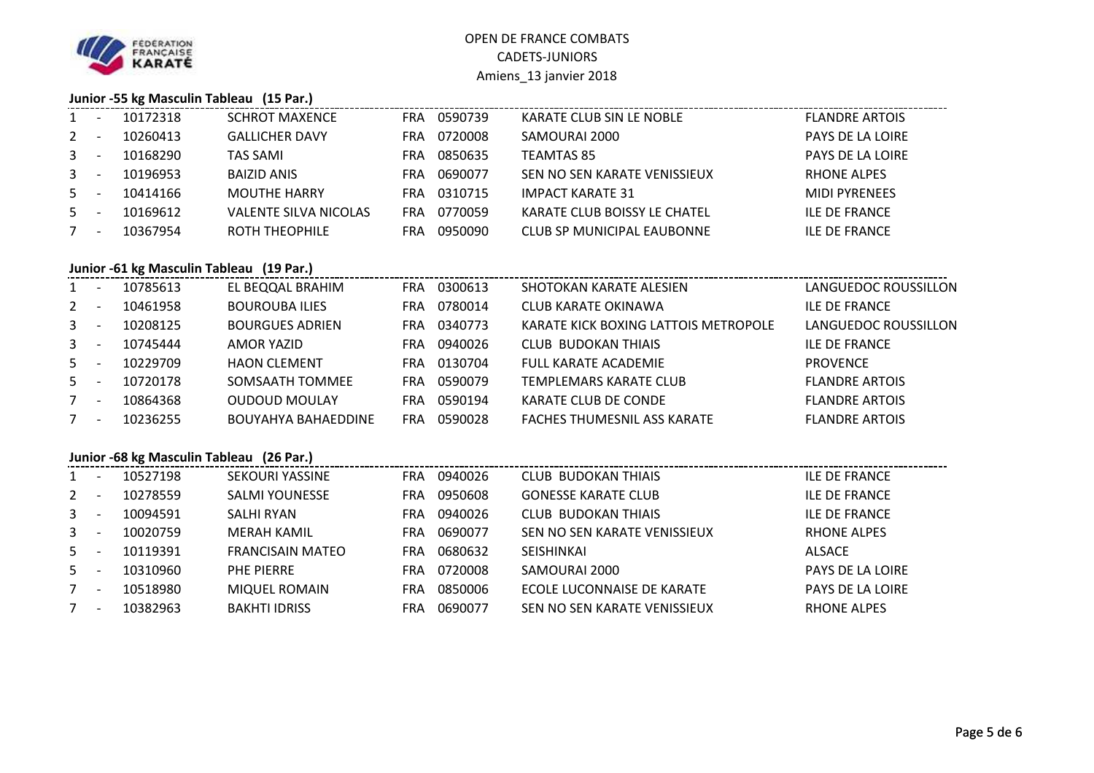

## **Junior -55 kg Masculin Tableau (15 Par.)**

| $1 \quad$      | 10172318 | <b>SCHROT MAXENCE</b>        | <b>FRA</b> | 0590739 | KARATE CLUB SIN LE NOBLE     | <b>FLANDRE ARTOIS</b> |
|----------------|----------|------------------------------|------------|---------|------------------------------|-----------------------|
| $\mathbf{2}$   | 10260413 | <b>GALLICHER DAVY</b>        | <b>FRA</b> | 0720008 | SAMOURAI 2000                | PAYS DE LA LOIRE      |
| 3 <sup>7</sup> | 10168290 | <b>TAS SAMI</b>              | FRA        | 0850635 | <b>TEAMTAS 85</b>            | PAYS DE LA LOIRE      |
| $\mathbf{3}$   | 10196953 | <b>BAIZID ANIS</b>           | <b>FRA</b> | 0690077 | SEN NO SEN KARATE VENISSIEUX | <b>RHONE ALPES</b>    |
| $5 -$          | 10414166 | <b>MOUTHE HARRY</b>          | <b>FRA</b> | 0310715 | <b>IMPACT KARATE 31</b>      | <b>MIDI PYRENEES</b>  |
| $5 -$          | 10169612 | <b>VALENTE SILVA NICOLAS</b> | FRA        | 0770059 | KARATE CLUB BOISSY LE CHATEL | <b>ILE DE FRANCE</b>  |
| 7              | 10367954 | <b>ROTH THEOPHILE</b>        | FRA        | 0950090 | CLUB SP MUNICIPAL EAUBONNE   | <b>ILE DE FRANCE</b>  |

#### **Junior -61 kg Masculin Tableau (19 Par.)**

|             |                          | $341101$ of $\frac{1}{2}$ $\frac{1}{2}$ $\frac{1}{2}$ $\frac{1}{2}$ $\frac{1}{2}$ $\frac{1}{2}$ $\frac{1}{2}$ $\frac{1}{2}$ $\frac{1}{2}$ |                            |            |         |                                      |                       |
|-------------|--------------------------|-------------------------------------------------------------------------------------------------------------------------------------------|----------------------------|------------|---------|--------------------------------------|-----------------------|
| $1 -$       |                          | 10785613                                                                                                                                  | EL BEQQAL BRAHIM           | FRA        | 0300613 | SHOTOKAN KARATE ALESIEN              | LANGUEDOC ROUSSILLON  |
| $2 -$       |                          | 10461958                                                                                                                                  | <b>BOUROUBA ILIES</b>      | FRA        | 0780014 | <b>CLUB KARATE OKINAWA</b>           | <b>ILE DE FRANCE</b>  |
| $3 -$       |                          | 10208125                                                                                                                                  | <b>BOURGUES ADRIEN</b>     | <b>FRA</b> | 0340773 | KARATE KICK BOXING LATTOIS METROPOLE | LANGUEDOC ROUSSILLON  |
| $3 -$       |                          | 10745444                                                                                                                                  | AMOR YAZID                 | <b>FRA</b> | 0940026 | CLUB BUDOKAN THIAIS                  | <b>ILE DE FRANCE</b>  |
| $5 -$       |                          | 10229709                                                                                                                                  | <b>HAON CLEMENT</b>        | FRA        | 0130704 | FULL KARATE ACADEMIE                 | <b>PROVENCE</b>       |
| $5 -$       |                          | 10720178                                                                                                                                  | SOMSAATH TOMMEE            | FRA        | 0590079 | TEMPLEMARS KARATE CLUB               | <b>FLANDRE ARTOIS</b> |
| 7           | $\overline{\phantom{a}}$ | 10864368                                                                                                                                  | <b>OUDOUD MOULAY</b>       | FRA        | 0590194 | KARATE CLUB DE CONDE                 | <b>FLANDRE ARTOIS</b> |
| $7^{\circ}$ | $\overline{\phantom{a}}$ | 10236255                                                                                                                                  | <b>BOUYAHYA BAHAEDDINE</b> | FRA        | 0590028 | <b>FACHES THUMESNIL ASS KARATE</b>   | <b>FLANDRE ARTOIS</b> |
|             |                          |                                                                                                                                           |                            |            |         |                                      |                       |

#### **Junior -68 kg Masculin Tableau (26 Par.)**

| 1            | 10527198 | SEKOURI YASSINE         | FRA | 0940026 | CLUB BUDOKAN THIAIS          | <b>ILE DE FRANCE</b> |
|--------------|----------|-------------------------|-----|---------|------------------------------|----------------------|
| $\mathbf{2}$ | 10278559 | <b>SALMI YOUNESSE</b>   | FRA | 0950608 | <b>GONESSE KARATE CLUB</b>   | <b>ILE DE FRANCE</b> |
| $\mathbf{3}$ | 10094591 | SALHI RYAN              | FRA | 0940026 | CLUB BUDOKAN THIAIS          | <b>ILE DE FRANCE</b> |
| $\mathbf{3}$ | 10020759 | MERAH KAMIL             | FRA | 0690077 | SEN NO SEN KARATE VENISSIEUX | <b>RHONE ALPES</b>   |
| $5 -$        | 10119391 | <b>FRANCISAIN MATEO</b> | FRA | 0680632 | SEISHINKAI                   | ALSACE               |
| $5 -$        | 10310960 | <b>PHE PIERRE</b>       | FRA | 0720008 | SAMOURAI 2000                | PAYS DE LA LOIRE     |
| 7            | 10518980 | <b>MIQUEL ROMAIN</b>    | FRA | 0850006 | ECOLE LUCONNAISE DE KARATE   | PAYS DE LA LOIRE     |
| 7            | 10382963 | <b>BAKHTI IDRISS</b>    | FRA | 0690077 | SEN NO SEN KARATE VENISSIEUX | <b>RHONE ALPES</b>   |